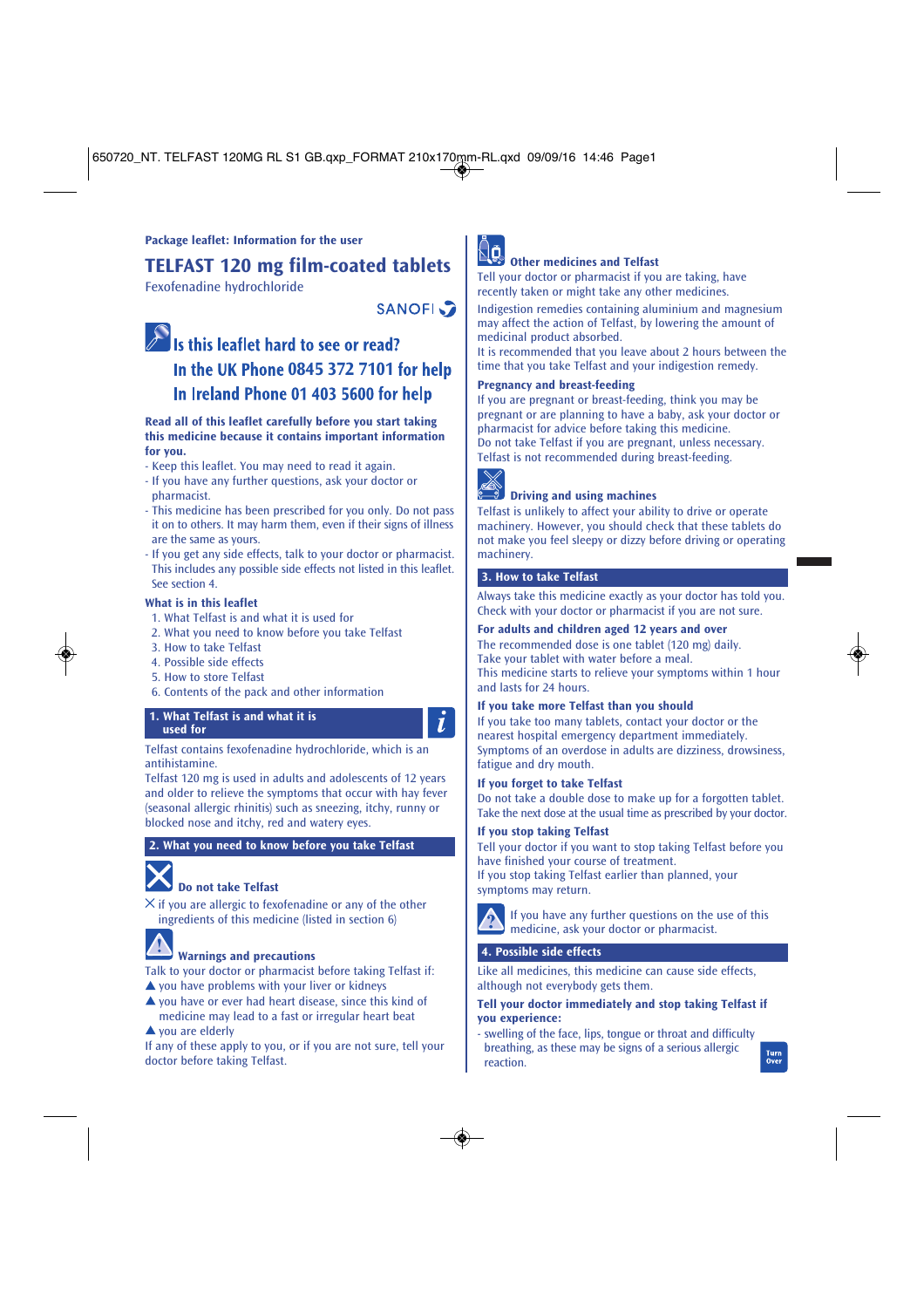650720\_NT. TELFAST 120MG RL S1 GB.qxp\_FORMAT 210x170mm-RL.qxd 09/09/16 14:46 Page1

# **Package leaflet: Information for the user**

**TELFAST 120 mg film-coated tablets**

Fexofenadine hydrochloride

**SANOFI** 

# S is this leaflet hard to see or read? **In the UK Phone 0845 372 7101 for help** In Ireland Phone 01 403 5600 for help

## **Read all of this leaflet carefully before you start taking this medicine because it contains important information for you.**

- Keep this leaflet. You may need to read it again.
- If you have any further questions, ask your doctor or
- pharmacist.
- This medicine has been prescribed for you only. Do not pass it on to others. It may harm them, even if their signs of illness are the same as yours.
- If you get any side effects, talk to your doctor or pharmacist. This includes any possible side effects not listed in this leaflet. See section 4.

# **What is in this leaflet**

- 1. What Telfast is and what it is used for
- 2. What you need to know before you take Telfast
- 3. How to take Telfast
- 4. Possible side effects
- 5. How to store Telfast
- 6. Contents of the pack and other information

# **1. What Telfast is and what it is used for**

# Telfast contains fexofenadine hydrochloride, which is an antihistamine.

Telfast 120 mg is used in adults and adolescents of 12 years and older to relieve the symptoms that occur with hay fever (seasonal allergic rhinitis) such as sneezing, itchy, runny or blocked nose and itchy, red and watery eyes.

# **2. What you need to know before you take Telfast**

# **Do not take Telfast**

 $\times$  if you are allergic to fexofenadine or any of the other ingredients of this medicine (listed in section 6)

# **Warnings and precautions**

- Talk to your doctor or pharmacist before taking Telfast if:
- $\triangle$  you have problems with your liver or kidneys
- ▲ you have or ever had heart disease, since this kind of medicine may lead to a fast or irregular heart beat

# ▲ you are elderly

If any of these apply to you, or if you are not sure, tell your doctor before taking Telfast.



# **Other medicines and Telfast**

Tell your doctor or pharmacist if you are taking, have recently taken or might take any other medicines. Indigestion remedies containing aluminium and magnesium

may affect the action of Telfast, by lowering the amount of medicinal product absorbed.

It is recommended that you leave about 2 hours between the time that you take Telfast and your indigestion remedy.

# **Pregnancy and breast-feeding**

If you are pregnant or breast-feeding, think you may be pregnant or are planning to have a baby, ask your doctor or pharmacist for advice before taking this medicine. Do not take Telfast if you are pregnant, unless necessary. Telfast is not recommended during breast-feeding.



 $\bf{I}$ 

# **Driving and using machines**

Telfast is unlikely to affect your ability to drive or operate machinery. However, you should check that these tablets do not make you feel sleepy or dizzy before driving or operating machinery.

# **3. How to take Telfast**

Always take this medicine exactly as your doctor has told you. Check with your doctor or pharmacist if you are not sure.

# **For adults and children aged 12 years and over**

The recommended dose is one tablet (120 mg) daily. Take your tablet with water before a meal. This medicine starts to relieve your symptoms within 1 hour and lasts for 24 hours.

# **If you take more Telfast than you should**

If you take too many tablets, contact your doctor or the nearest hospital emergency department immediately. Symptoms of an overdose in adults are dizziness, drowsiness, fatigue and dry mouth.

#### **If you forget to take Telfast**

Do not take a double dose to make up for a forgotten tablet. Take the next dose at the usual time as prescribed by your doctor.

# **If you stop taking Telfast**

Tell your doctor if you want to stop taking Telfast before you have finished your course of treatment. If you stop taking Telfast earlier than planned, your symptoms may return.



# If you have any further questions on the use of this medicine, ask your doctor or pharmacist.

# **4. Possible side effects**

Like all medicines, this medicine can cause side effects, although not everybody gets them.

## **Tell your doctor immediately and stop taking Telfast if you experience:**

- swelling of the face, lips, tongue or throat and difficulty breathing, as these may be signs of a serious allergic reaction.



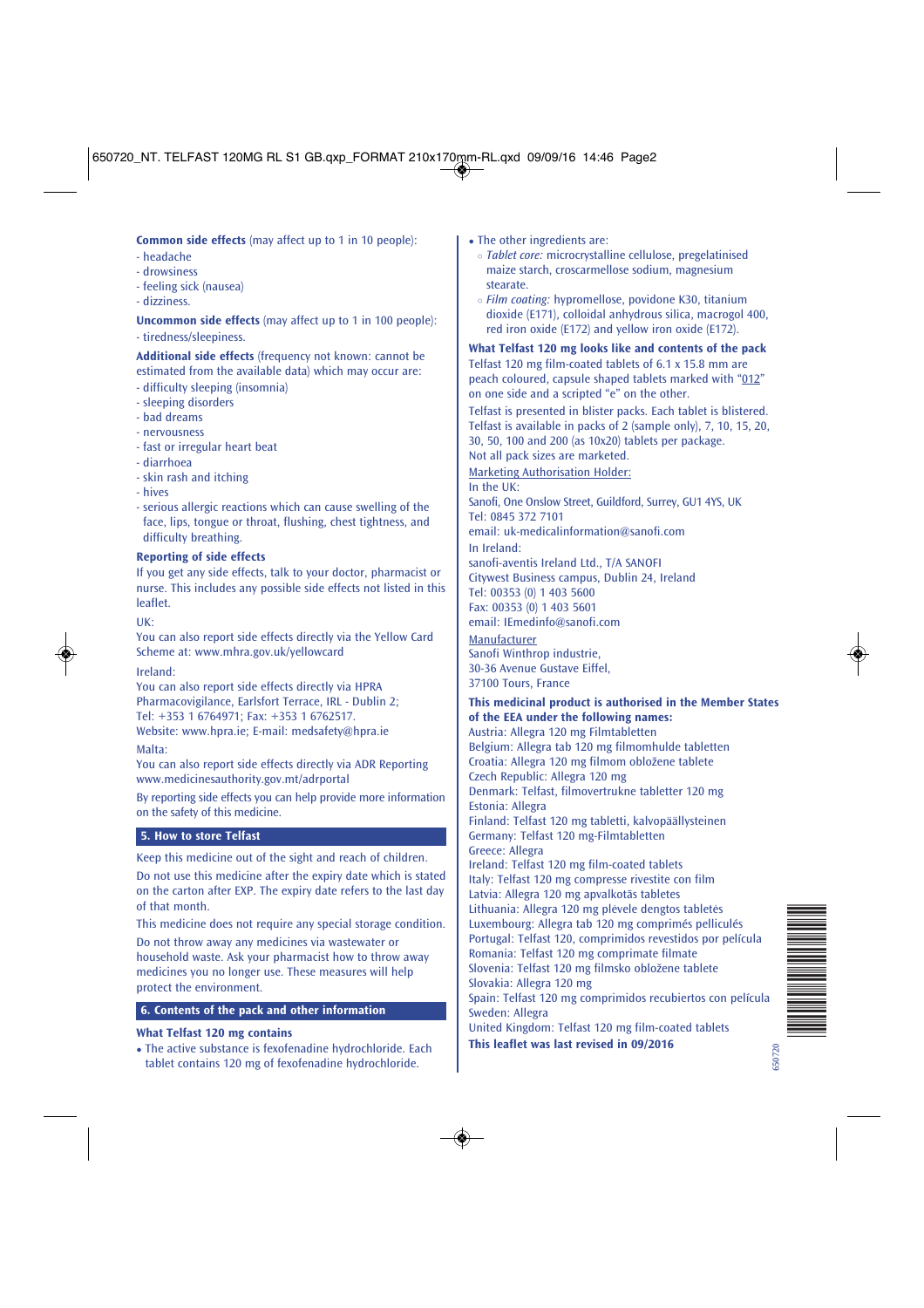650720\_NT. TELFAST 120MG RL S1 GB.qxp\_FORMAT 210x170mm-RL.qxd 09/09/16 14:46 Page2

**Common side effects** (may affect up to 1 in 10 people):

- headache
- drowsiness
- feeling sick (nausea) - dizziness.
- 
- **Uncommon side effects** (may affect up to 1 in 100 people):
- tiredness/sleepiness.

# **Additional side effects** (frequency not known: cannot be estimated from the available data) which may occur are:

- difficulty sleeping (insomnia)
- sleeping disorders
- bad dreams
- nervousness
- fast or irregular heart beat
- diarrhoea
- skin rash and itching
- hives
- serious allergic reactions which can cause swelling of the face, lips, tongue or throat, flushing, chest tightness, and difficulty breathing.

## **Reporting of side effects**

If you get any side effects, talk to your doctor, pharmacist or nurse. This includes any possible side effects not listed in this leaflet.

# UK:

You can also report side effects directly via the Yellow Card Scheme at: www.mhra.gov.uk/yellowcard

# Ireland:

You can also report side effects directly via HPRA Pharmacovigilance, Earlsfort Terrace, IRL - Dublin 2; Tel: +353 1 6764971; Fax: +353 1 6762517. Website: www.hpra.ie; E-mail: medsafety@hpra.ie

#### Malta:

You can also report side effects directly via ADR Reporting www.medicinesauthority.gov.mt/adrportal

By reporting side effects you can help provide more information on the safety of this medicine.

#### **5. How to store Telfast**

Keep this medicine out of the sight and reach of children.

Do not use this medicine after the expiry date which is stated on the carton after EXP. The expiry date refers to the last day of that month.

This medicine does not require any special storage condition. Do not throw away any medicines via wastewater or

household waste. Ask your pharmacist how to throw away medicines you no longer use. These measures will help protect the environment.

# **6. Contents of the pack and other information**

# **What Telfast 120 mg contains**

• The active substance is fexofenadine hydrochloride. Each tablet contains 120 mg of fexofenadine hydrochloride.

- The other ingredients are:
	- *Tablet core:* microcrystalline cellulose, pregelatinised maize starch, croscarmellose sodium, magnesium stearate.
	- *Film coating:* hypromellose, povidone K30, titanium dioxide (E171), colloidal anhydrous silica, macrogol 400, red iron oxide (E172) and yellow iron oxide (E172).

**What Telfast 120 mg looks like and contents of the pack** Telfast 120 mg film-coated tablets of 6.1 x 15.8 mm are peach coloured, capsule shaped tablets marked with "012" on one side and a scripted "e" on the other.

Telfast is presented in blister packs. Each tablet is blistered. Telfast is available in packs of 2 (sample only), 7, 10, 15, 20, 30, 50, 100 and 200 (as 10x20) tablets per package.

Not all pack sizes are marketed. Marketing Authorisation Holder:

In the UK:

Sanofi, One Onslow Street, Guildford, Surrey, GU1 4YS, UK Tel: 0845 372 7101

email: uk-medicalinformation@sanofi.com

In Ireland: sanofi-aventis Ireland Ltd., T/A SANOFI Citywest Business campus, Dublin 24, Ireland Tel: 00353 (0) 1 403 5600 Fax: 00353 (0) 1 403 5601 email: IEmedinfo@sanofi.com

Manufacturer Sanofi Winthrop industrie, 30-36 Avenue Gustave Eiffel, 37100 Tours, France

# **This medicinal product is authorised in the Member States of the EEA under the following names:**

Austria: Allegra 120 mg Filmtabletten Belgium: Allegra tab 120 mg filmomhulde tabletten Croatia: Allegra 120 mg filmom obložene tablete Czech Republic: Allegra 120 mg Denmark: Telfast, filmovertrukne tabletter 120 mg Estonia: Allegra Finland: Telfast 120 mg tabletti, kalvopäällysteinen Germany: Telfast 120 mg-Filmtabletten Greece: Allegra Ireland: Telfast 120 mg film-coated tablets Italy: Telfast 120 mg compresse rivestite con film Latvia: Allegra 120 mg apvalkotās tabletes Lithuania: Allegra 120 mg plėvele dengtos tabletės Luxembourg: Allegra tab 120 mg comprimés pelliculés Portugal: Telfast 120, comprimidos revestidos por película Romania: Telfast 120 mg comprimate filmate Slovenia: Telfast 120 mg filmsko obložene tablete Slovakia: Allegra 120 mg Spain: Telfast 120 mg comprimidos recubiertos con película Sweden: Allegra United Kingdom: Telfast 120 mg film-coated tablets **This leaflet was last revised in 09/2016**

\*650720\*

650720